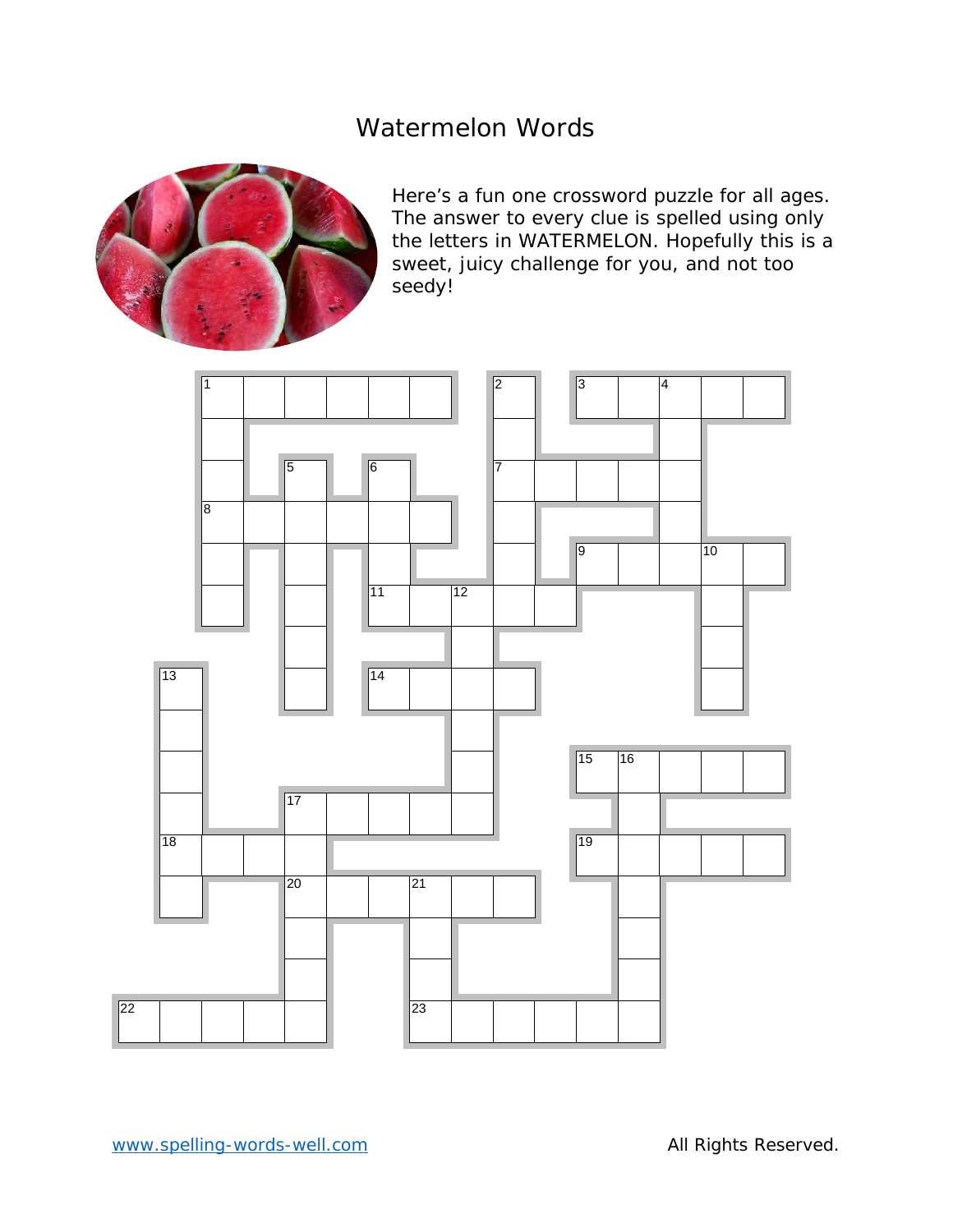# Watermelon Words



Here's a fun one crossword puzzle for all ages. The answer to every clue is spelled using only the letters in WATERMELON. Hopefully this is a sweet, juicy challenge for you, and not too seedy!

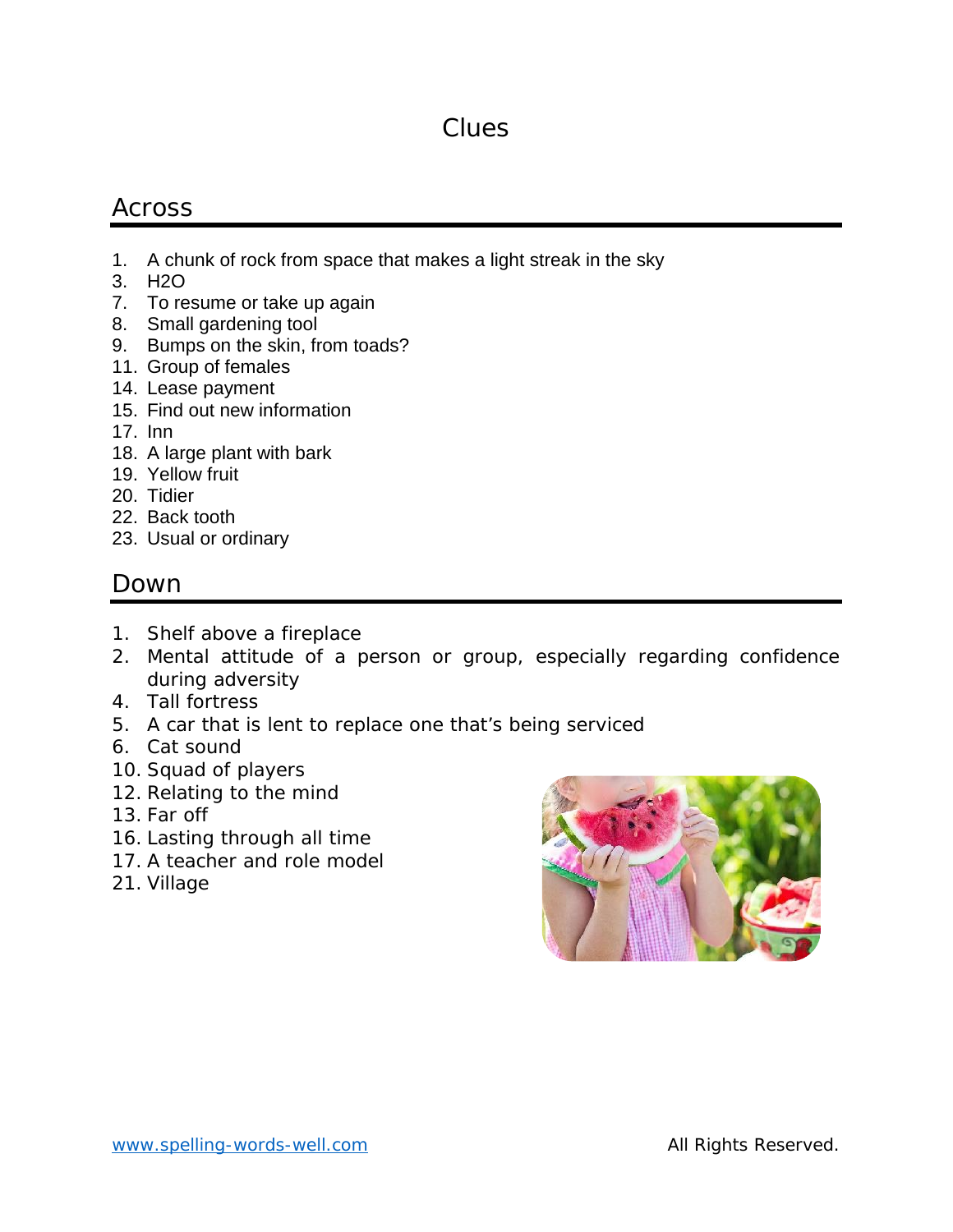# Clues

### Across

- 1. A chunk of rock from space that makes a light streak in the sky
- 3. H2O
- 7. To resume or take up again
- 8. Small gardening tool
- 9. Bumps on the skin, from toads?
- 11. Group of females
- 14. Lease payment
- 15. Find out new information
- 17. Inn
- 18. A large plant with bark
- 19. Yellow fruit
- 20. Tidier
- 22. Back tooth
- 23. Usual or ordinary

#### Down

- 1. Shelf above a fireplace
- 2. Mental attitude of a person or group, especially regarding confidence during adversity
- 4. Tall fortress
- 5. A car that is lent to replace one that's being serviced
- 6. Cat sound
- 10. Squad of players
- 12. Relating to the mind
- 13. Far off
- 16. Lasting through all time
- 17. A teacher and role model
- 21. Village